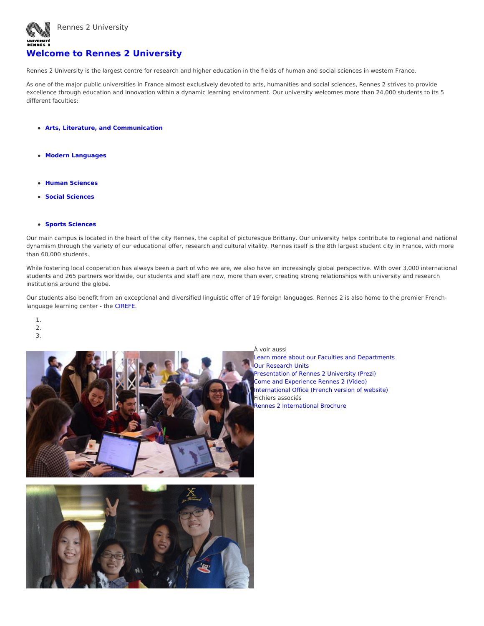

## **Welcome to Rennes 2 [University](https://international.univ-rennes2.fr/index.php/welcome-rennes-2-university)**

Rennes 2 University is the largest centre for research and higher education in the fields of human and social sciences in western France.

As one of the major public universities in France almost exclusively devoted to arts, humanities and social sciences, Rennes 2 strives to provide excellence through education and innovation within a dynamic learning environment. Our university welcomes more than 24,000 students to its 5 different faculties:

- **Arts, Literature, and [Communication](https://international.univ-rennes2.fr/index.php/structure/faculty-arts-literature-and-communication)**
- **Modern [Languages](https://international.univ-rennes2.fr/index.php/structure/faculty-languages)**
- **Human [Sciences](https://international.univ-rennes2.fr/index.php/structure/faculty-human-sciences)**
- **Social [Sciences](https://international.univ-rennes2.fr/index.php/structure/faculty-social-sciences)**

## **Sports [Sciences](https://international.univ-rennes2.fr/index.php/structure/faculty-sports-science-and-physical-activity)**

Our main campus is located in the heart of the city Rennes, the capital of picturesque Brittany. Our university helps contribute to regional and national dynamism through the variety of our educational offer, research and cultural vitality. Rennes itself is the 8th largest student city in France, with more than 60,000 students.

While fostering local cooperation has always been a part of who we are, we also have an increasingly global perspective. With over 3,000 international students and 265 partners worldwide, our students and staff are now, more than ever, creating strong relationships with university and research institutions around the globe.

Our students also benefit from an exceptional and diversified linguistic offer of 19 foreign languages. Rennes 2 is also home to the premier Frenchlanguage learning center - the [CIREFE.](https://international.univ-rennes2.fr/index.php/learn-french-cirefe)

- 1.
- 2.
- 3.



À voir aussi

Learn more about our Faculties and [Departments](https://international.univ-rennes2.fr/index.php/studying/faculties-and-departments) **Our [Research](https://international.univ-rennes2.fr/index.php/research/research-units) Units** [Presentation](https://prezi.com/g26knh7y6vyj/rennes-2-presentation-english-version/?utm_campaign=share&utm_medium=copy) of Rennes 2 University (Prezi) Come and [Experience](https://www.lairedu.fr/media/video/presentation/come-and-experience-rennes-2-university-2/) Rennes 2 (Video) [International](https://www.univ-rennes2.fr/structure/service-relations-internationales) Office (French version of website) Fichiers associés Rennes 2 [International](https://international.univ-rennes2.fr/index.php/system/files/UHB/ABOUT/plaquette_UR2_2021_GB.pdf) Brochure